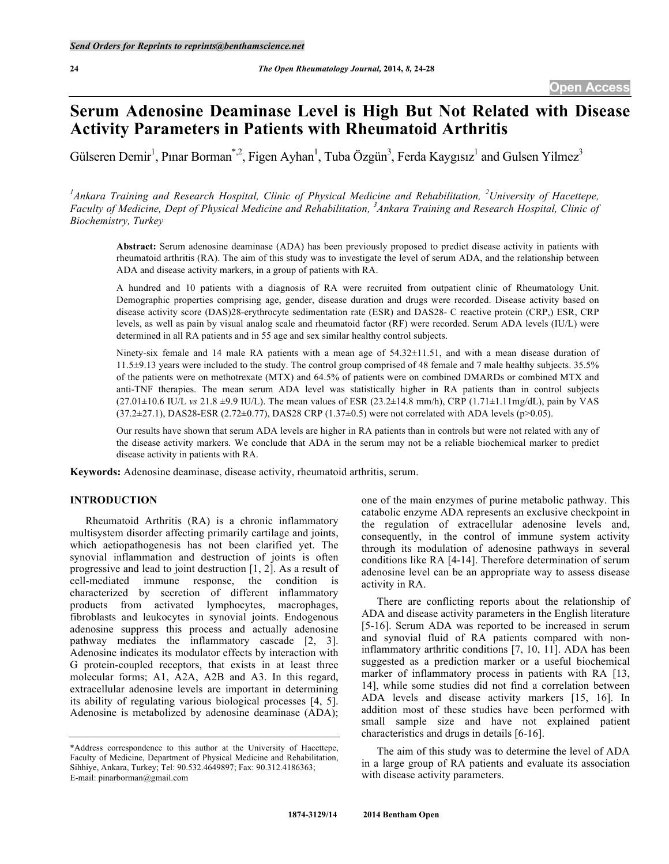# **Serum Adenosine Deaminase Level is High But Not Related with Disease Activity Parameters in Patients with Rheumatoid Arthritis**

Gülseren Demir<sup>1</sup>, Pınar Borman<sup>\*,2</sup>, Figen Ayhan<sup>1</sup>, Tuba Özgün<sup>3</sup>, Ferda Kaygısız<sup>1</sup> and Gulsen Yilmez<sup>3</sup>

<sup>1</sup> Ankara Training and Research Hospital, Clinic of Physical Medicine and Rehabilitation, <sup>2</sup> University of Hacettepe, Faculty of Medicine, Dept of Physical Medicine and Rehabilitation, <sup>3</sup> Ankara Training and Research Hospital, Clinic of *Biochemistry, Turkey*

**Abstract:** Serum adenosine deaminase (ADA) has been previously proposed to predict disease activity in patients with rheumatoid arthritis (RA). The aim of this study was to investigate the level of serum ADA, and the relationship between ADA and disease activity markers, in a group of patients with RA.

A hundred and 10 patients with a diagnosis of RA were recruited from outpatient clinic of Rheumatology Unit. Demographic properties comprising age, gender, disease duration and drugs were recorded. Disease activity based on disease activity score (DAS)28-erythrocyte sedimentation rate (ESR) and DAS28- C reactive protein (CRP,) ESR, CRP levels, as well as pain by visual analog scale and rheumatoid factor (RF) were recorded. Serum ADA levels (IU/L) were determined in all RA patients and in 55 age and sex similar healthy control subjects.

Ninety-six female and 14 male RA patients with a mean age of 54.32±11.51, and with a mean disease duration of 11.5±9.13 years were included to the study. The control group comprised of 48 female and 7 male healthy subjects. 35.5% of the patients were on methotrexate (MTX) and 64.5% of patients were on combined DMARDs or combined MTX and anti-TNF therapies. The mean serum ADA level was statistically higher in RA patients than in control subjects (27.01±10.6 IU/L *vs* 21.8 ±9.9 IU/L). The mean values of ESR (23.2±14.8 mm/h), CRP (1.71±1.11mg/dL), pain by VAS (37.2±27.1), DAS28-ESR (2.72±0.77), DAS28 CRP (1.37±0.5) were not correlated with ADA levels (p>0.05).

Our results have shown that serum ADA levels are higher in RA patients than in controls but were not related with any of the disease activity markers. We conclude that ADA in the serum may not be a reliable biochemical marker to predict disease activity in patients with RA.

**Keywords:** Adenosine deaminase, disease activity, rheumatoid arthritis, serum.

# **INTRODUCTION**

Rheumatoid Arthritis (RA) is a chronic inflammatory multisystem disorder affecting primarily cartilage and joints, which aetiopathogenesis has not been clarified yet. The synovial inflammation and destruction of joints is often progressive and lead to joint destruction [1, 2]. As a result of cell-mediated immune response, the condition is characterized by secretion of different inflammatory products from activated lymphocytes, macrophages, fibroblasts and leukocytes in synovial joints. Endogenous adenosine suppress this process and actually adenosine pathway mediates the inflammatory cascade [2, 3]. Adenosine indicates its modulator effects by interaction with G protein-coupled receptors, that exists in at least three molecular forms; A1, A2A, A2B and A3. In this regard, extracellular adenosine levels are important in determining its ability of regulating various biological processes [4, 5]. Adenosine is metabolized by adenosine deaminase (ADA);

one of the main enzymes of purine metabolic pathway. This catabolic enzyme ADA represents an exclusive checkpoint in the regulation of extracellular adenosine levels and, consequently, in the control of immune system activity through its modulation of adenosine pathways in several conditions like RA [4-14]. Therefore determination of serum adenosine level can be an appropriate way to assess disease activity in RA.

There are conflicting reports about the relationship of ADA and disease activity parameters in the English literature [5-16]. Serum ADA was reported to be increased in serum and synovial fluid of RA patients compared with noninflammatory arthritic conditions [7, 10, 11]. ADA has been suggested as a prediction marker or a useful biochemical marker of inflammatory process in patients with RA [13, 14], while some studies did not find a correlation between ADA levels and disease activity markers [15, 16]. In addition most of these studies have been performed with small sample size and have not explained patient characteristics and drugs in details [6-16].

The aim of this study was to determine the level of ADA in a large group of RA patients and evaluate its association with disease activity parameters.

<sup>\*</sup>Address correspondence to this author at the University of Hacettepe, Faculty of Medicine, Department of Physical Medicine and Rehabilitation, Sihhiye, Ankara, Turkey; Tel: 90.532.4649897; Fax: 90.312.4186363; E-mail: pinarborman@gmail.com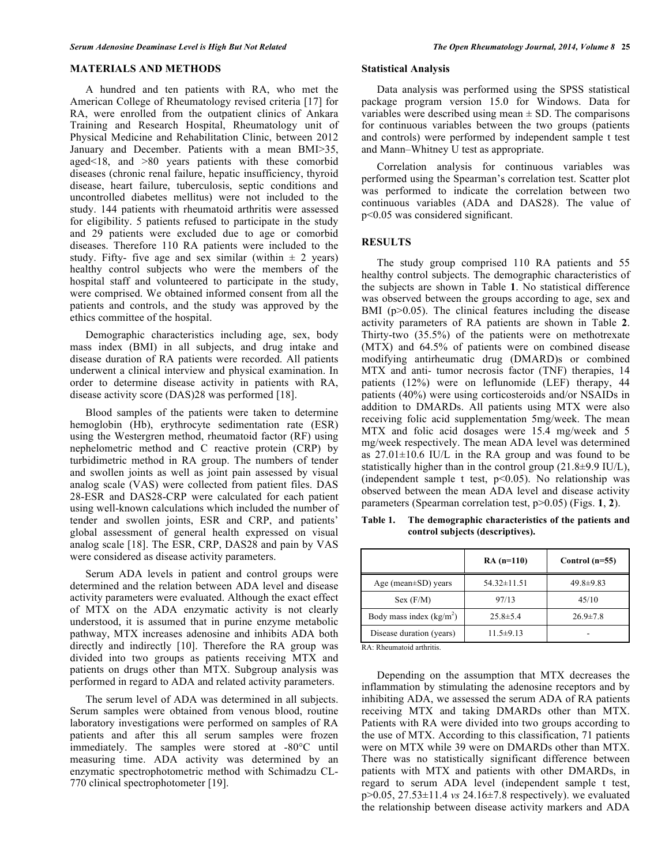## **MATERIALS AND METHODS**

A hundred and ten patients with RA, who met the American College of Rheumatology revised criteria [17] for RA, were enrolled from the outpatient clinics of Ankara Training and Research Hospital, Rheumatology unit of Physical Medicine and Rehabilitation Clinic, between 2012 January and December. Patients with a mean BMI>35, aged<18, and >80 years patients with these comorbid diseases (chronic renal failure, hepatic insufficiency, thyroid disease, heart failure, tuberculosis, septic conditions and uncontrolled diabetes mellitus) were not included to the study. 144 patients with rheumatoid arthritis were assessed for eligibility. 5 patients refused to participate in the study and 29 patients were excluded due to age or comorbid diseases. Therefore 110 RA patients were included to the study. Fifty- five age and sex similar (within  $\pm$  2 years) healthy control subjects who were the members of the hospital staff and volunteered to participate in the study, were comprised. We obtained informed consent from all the patients and controls, and the study was approved by the ethics committee of the hospital.

Demographic characteristics including age, sex, body mass index (BMI) in all subjects, and drug intake and disease duration of RA patients were recorded. All patients underwent a clinical interview and physical examination. In order to determine disease activity in patients with RA, disease activity score (DAS)28 was performed [18].

Blood samples of the patients were taken to determine hemoglobin (Hb), erythrocyte sedimentation rate (ESR) using the Westergren method, rheumatoid factor (RF) using nephelometric method and C reactive protein (CRP) by turbidimetric method in RA group. The numbers of tender and swollen joints as well as joint pain assessed by visual analog scale (VAS) were collected from patient files. DAS 28-ESR and DAS28-CRP were calculated for each patient using well-known calculations which included the number of tender and swollen joints, ESR and CRP, and patients' global assessment of general health expressed on visual analog scale [18]. The ESR, CRP, DAS28 and pain by VAS were considered as disease activity parameters.

Serum ADA levels in patient and control groups were determined and the relation between ADA level and disease activity parameters were evaluated. Although the exact effect of MTX on the ADA enzymatic activity is not clearly understood, it is assumed that in purine enzyme metabolic pathway, MTX increases adenosine and inhibits ADA both directly and indirectly [10]. Therefore the RA group was divided into two groups as patients receiving MTX and patients on drugs other than MTX. Subgroup analysis was performed in regard to ADA and related activity parameters.

The serum level of ADA was determined in all subjects. Serum samples were obtained from venous blood, routine laboratory investigations were performed on samples of RA patients and after this all serum samples were frozen immediately. The samples were stored at -80°C until measuring time. ADA activity was determined by an enzymatic spectrophotometric method with Schimadzu CL-770 clinical spectrophotometer [19].

# **Statistical Analysis**

Data analysis was performed using the SPSS statistical package program version 15.0 for Windows. Data for variables were described using mean  $\pm$  SD. The comparisons for continuous variables between the two groups (patients and controls) were performed by independent sample t test and Mann–Whitney U test as appropriate.

Correlation analysis for continuous variables was performed using the Spearman's correlation test. Scatter plot was performed to indicate the correlation between two continuous variables (ADA and DAS28). The value of p<0.05 was considered significant.

#### **RESULTS**

The study group comprised 110 RA patients and 55 healthy control subjects. The demographic characteristics of the subjects are shown in Table **1**. No statistical difference was observed between the groups according to age, sex and BMI (p>0.05). The clinical features including the disease activity parameters of RA patients are shown in Table **2**. Thirty-two (35.5%) of the patients were on methotrexate (MTX) and 64.5% of patients were on combined disease modifying antirheumatic drug (DMARD)s or combined MTX and anti- tumor necrosis factor (TNF) therapies, 14 patients (12%) were on leflunomide (LEF) therapy, 44 patients (40%) were using corticosteroids and/or NSAIDs in addition to DMARDs. All patients using MTX were also receiving folic acid supplementation 5mg/week. The mean MTX and folic acid dosages were 15.4 mg/week and 5 mg/week respectively. The mean ADA level was determined as  $27.01 \pm 10.6$  IU/L in the RA group and was found to be statistically higher than in the control group  $(21.8\pm9.9 \text{ IU/L})$ , (independent sample t test, p<0.05). No relationship was observed between the mean ADA level and disease activity parameters (Spearman correlation test, p>0.05) (Figs. **1**, **2**).

|                           | $RA(n=110)$       | Control $(n=55)$ |
|---------------------------|-------------------|------------------|
| Age (mean $\pm$ SD) years | $54.32 \pm 11.51$ | $49.8 \pm 9.83$  |
| Sex(F/M)                  | 97/13             | 45/10            |
| Body mass index $(kg/m2)$ | $25.8 \pm 5.4$    | $26.9 \pm 7.8$   |
| Disease duration (years)  | $11.5 \pm 9.13$   |                  |

**Table 1. The demographic characteristics of the patients and control subjects (descriptives).**

RA: Rheumatoid arthritis.

Depending on the assumption that MTX decreases the inflammation by stimulating the adenosine receptors and by inhibiting ADA, we assessed the serum ADA of RA patients receiving MTX and taking DMARDs other than MTX. Patients with RA were divided into two groups according to the use of MTX. According to this classification, 71 patients were on MTX while 39 were on DMARDs other than MTX. There was no statistically significant difference between patients with MTX and patients with other DMARDs, in regard to serum ADA level (independent sample t test, p>0.05, 27.53±11.4 *vs* 24.16±7.8 respectively). we evaluated the relationship between disease activity markers and ADA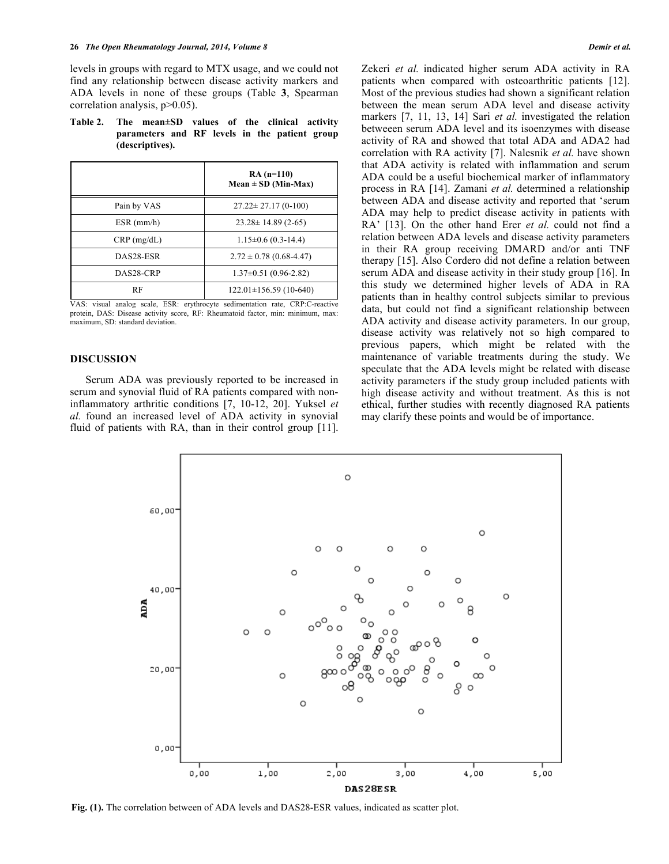levels in groups with regard to MTX usage, and we could not find any relationship between disease activity markers and ADA levels in none of these groups (Table **3**, Spearman correlation analysis, p>0.05).

**Table 2. The mean±SD values of the clinical activity parameters and RF levels in the patient group (descriptives).**

|               | $RA(n=110)$<br>$Mean \pm SD (Min-Max)$ |
|---------------|----------------------------------------|
| Pain by VAS   | $27.22 \pm 27.17(0-100)$               |
| $ESR$ (mm/h)  | $23.28 \pm 14.89$ (2-65)               |
| $CRP$ (mg/dL) | $1.15\pm0.6$ (0.3-14.4)                |
| DAS28-ESR     | $2.72 \pm 0.78$ (0.68-4.47)            |
| DAS28-CRP     | $1.37\pm0.51(0.96-2.82)$               |
| RF            | $122.01 \pm 156.59(10-640)$            |

VAS: visual analog scale, ESR: erythrocyte sedimentation rate, CRP:C-reactive protein, DAS: Disease activity score, RF: Rheumatoid factor, min: minimum, max: maximum, SD: standard deviation.

## **DISCUSSION**

Serum ADA was previously reported to be increased in serum and synovial fluid of RA patients compared with noninflammatory arthritic conditions [7, 10-12, 20]. Yuksel *et al.* found an increased level of ADA activity in synovial fluid of patients with RA, than in their control group [11]. Zekeri *et al.* indicated higher serum ADA activity in RA patients when compared with osteoarthritic patients [12]. Most of the previous studies had shown a significant relation between the mean serum ADA level and disease activity markers [7, 11, 13, 14] Sari *et al.* investigated the relation betweeen serum ADA level and its isoenzymes with disease activity of RA and showed that total ADA and ADA2 had correlation with RA activity [7]. Nalesnik *et al.* have shown that ADA activity is related with inflammation and serum ADA could be a useful biochemical marker of inflammatory process in RA [14]. Zamani *et al.* determined a relationship between ADA and disease activity and reported that 'serum ADA may help to predict disease activity in patients with RA' [13]. On the other hand Erer *et al.* could not find a relation between ADA levels and disease activity parameters in their RA group receiving DMARD and/or anti TNF therapy [15]. Also Cordero did not define a relation between serum ADA and disease activity in their study group [16]. In this study we determined higher levels of ADA in RA patients than in healthy control subjects similar to previous data, but could not find a significant relationship between ADA activity and disease activity parameters. In our group, disease activity was relatively not so high compared to previous papers, which might be related with the maintenance of variable treatments during the study. We speculate that the ADA levels might be related with disease activity parameters if the study group included patients with high disease activity and without treatment. As this is not ethical, further studies with recently diagnosed RA patients may clarify these points and would be of importance.



**Fig. (1).** The correlation between of ADA levels and DAS28-ESR values, indicated as scatter plot.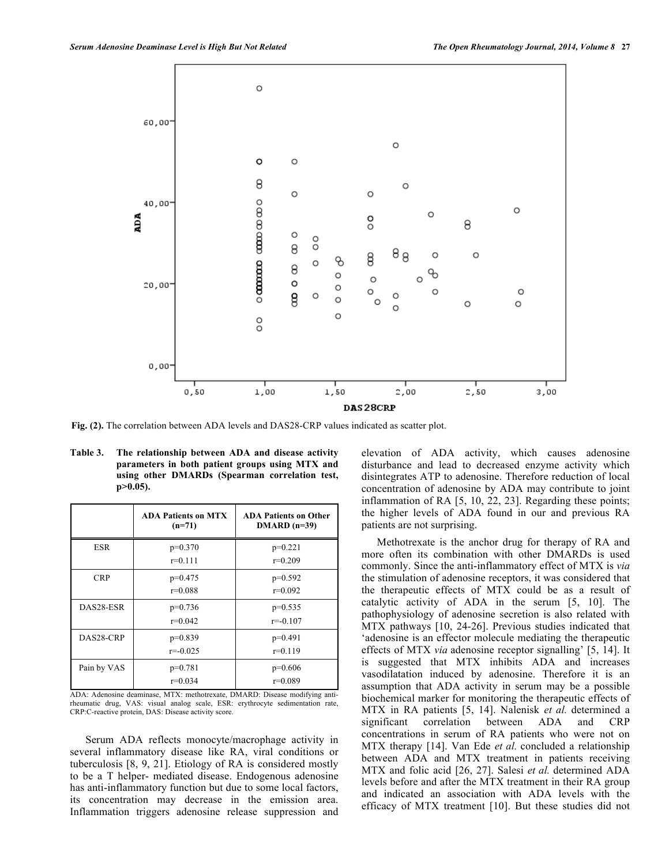

**Fig. (2).** The correlation between ADA levels and DAS28-CRP values indicated as scatter plot.

| Table 3. | The relationship between ADA and disease activity                                                 |
|----------|---------------------------------------------------------------------------------------------------|
|          | parameters in both patient groups using MTX and<br>using other DMARDs (Spearman correlation test, |
|          | $p > 0.05$ ).                                                                                     |

|             | <b>ADA Patients on MTX</b><br>$(n=71)$ | <b>ADA Patients on Other</b><br>$DMARD$ (n=39) |
|-------------|----------------------------------------|------------------------------------------------|
| <b>ESR</b>  | $p=0.370$<br>$r=0.111$                 | $p=0.221$<br>$r=0.209$                         |
| <b>CRP</b>  | $p=0.475$<br>$r=0.088$                 | $p=0.592$<br>$r=0.092$                         |
| DAS28-ESR   | $p=0.736$<br>$r=0.042$                 | $p=0.535$<br>$r = -0.107$                      |
| DAS28-CRP   | $p=0.839$<br>$r = -0.025$              | $p=0.491$<br>$r=0.119$                         |
| Pain by VAS | $p=0.781$<br>$r=0.034$                 | $p=0.606$<br>$r=0.089$                         |

ADA: Adenosine deaminase, MTX: methotrexate, DMARD: Disease modifying antirheumatic drug, VAS: visual analog scale, ESR: erythrocyte sedimentation rate, CRP:C-reactive protein, DAS: Disease activity score.

Serum ADA reflects monocyte/macrophage activity in several inflammatory disease like RA, viral conditions or tuberculosis [8, 9, 21]. Etiology of RA is considered mostly to be a T helper- mediated disease. Endogenous adenosine has anti-inflammatory function but due to some local factors, its concentration may decrease in the emission area. Inflammation triggers adenosine release suppression and

elevation of ADA activity, which causes adenosine disturbance and lead to decreased enzyme activity which disintegrates ATP to adenosine. Therefore reduction of local concentration of adenosine by ADA may contribute to joint inflammation of RA [5, 10, 22, 23]. Regarding these points; the higher levels of ADA found in our and previous RA patients are not surprising.

Methotrexate is the anchor drug for therapy of RA and more often its combination with other DMARDs is used commonly. Since the anti-inflammatory effect of MTX is *via*  the stimulation of adenosine receptors, it was considered that the therapeutic effects of MTX could be as a result of catalytic activity of ADA in the serum [5, 10]. The pathophysiology of adenosine secretion is also related with MTX pathways [10, 24-26]. Previous studies indicated that 'adenosine is an effector molecule mediating the therapeutic effects of MTX *via* adenosine receptor signalling' [5, 14]. It is suggested that MTX inhibits ADA and increases vasodilatation induced by adenosine. Therefore it is an assumption that ADA activity in serum may be a possible biochemical marker for monitoring the therapeutic effects of MTX in RA patients [5, 14]. Nalenisk *et al.* determined a significant correlation between ADA and CRP concentrations in serum of RA patients who were not on MTX therapy [14]. Van Ede *et al.* concluded a relationship between ADA and MTX treatment in patients receiving MTX and folic acid [26, 27]. Salesi *et al.* determined ADA levels before and after the MTX treatment in their RA group and indicated an association with ADA levels with the efficacy of MTX treatment [10]. But these studies did not